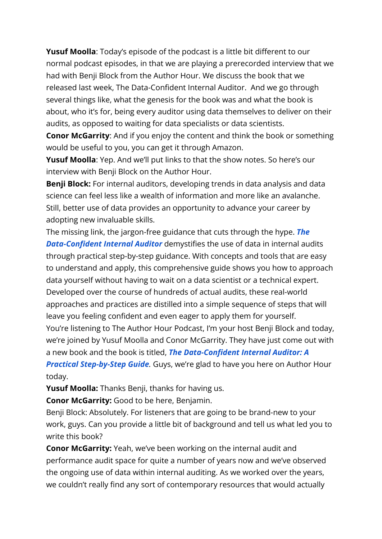**Yusuf Moolla**: Today's episode of the podcast is a little bit different to our normal podcast episodes, in that we are playing a prerecorded interview that we had with Benji Block from the Author Hour. We discuss the book that we released last week, The Data-Confident Internal Auditor. And we go through several things like, what the genesis for the book was and what the book is about, who it's for, being every auditor using data themselves to deliver on their audits, as opposed to waiting for data specialists or data scientists.

**Conor McGarrity**: And if you enjoy the content and think the book or something would be useful to you, you can get it through Amazon.

**Yusuf Moolla**: Yep. And we'll put links to that the show notes. So here's our interview with Benji Block on the Author Hour.

**Benji Block:** For internal auditors, developing trends in data analysis and data science can feel less like a wealth of information and more like an avalanche. Still, better use of data provides an opportunity to advance your career by adopting new invaluable skills.

The missing link, the jargon-free guidance that cuts through the hype. *[The](https://geni.us/DataConfidentInternal) [Data-Confident Internal Auditor](https://geni.us/DataConfidentInternal)* demystifies the use of data in internal audits through practical step-by-step guidance. With concepts and tools that are easy to understand and apply, this comprehensive guide shows you how to approach data yourself without having to wait on a data scientist or a technical expert. Developed over the course of hundreds of actual audits, these real-world approaches and practices are distilled into a simple sequence of steps that will leave you feeling confident and even eager to apply them for yourself. You're listening to The Author Hour Podcast, I'm your host Benji Block and today, we're joined by Yusuf Moolla and Conor McGarrity. They have just come out with a new book and the book is titled, *[The Data-Confident Internal Auditor: A](https://geni.us/DataConfidentInternal) [Practical Step-by-Step Guide](https://geni.us/DataConfidentInternal).* Guys, we're glad to have you here on Author Hour today.

**Yusuf Moolla:** Thanks Benji, thanks for having us.

**Conor McGarrity:** Good to be here, Benjamin.

Benji Block: Absolutely. For listeners that are going to be brand-new to your work, guys. Can you provide a little bit of background and tell us what led you to write this book?

**Conor McGarrity:** Yeah, we've been working on the internal audit and performance audit space for quite a number of years now and we've observed the ongoing use of data within internal auditing. As we worked over the years, we couldn't really find any sort of contemporary resources that would actually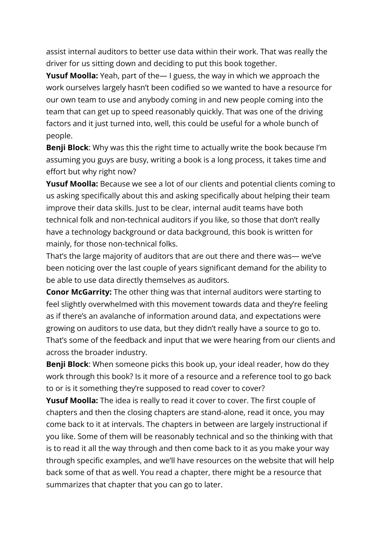assist internal auditors to better use data within their work. That was really the driver for us sitting down and deciding to put this book together.

**Yusuf Moolla:** Yeah, part of the— I guess, the way in which we approach the work ourselves largely hasn't been codified so we wanted to have a resource for our own team to use and anybody coming in and new people coming into the team that can get up to speed reasonably quickly. That was one of the driving factors and it just turned into, well, this could be useful for a whole bunch of people.

**Benji Block**: Why was this the right time to actually write the book because I'm assuming you guys are busy, writing a book is a long process, it takes time and effort but why right now?

**Yusuf Moolla:** Because we see a lot of our clients and potential clients coming to us asking specifically about this and asking specifically about helping their team improve their data skills. Just to be clear, internal audit teams have both technical folk and non-technical auditors if you like, so those that don't really have a technology background or data background, this book is written for mainly, for those non-technical folks.

That's the large majority of auditors that are out there and there was— we've been noticing over the last couple of years significant demand for the ability to be able to use data directly themselves as auditors.

**Conor McGarrity:** The other thing was that internal auditors were starting to feel slightly overwhelmed with this movement towards data and they're feeling as if there's an avalanche of information around data, and expectations were growing on auditors to use data, but they didn't really have a source to go to. That's some of the feedback and input that we were hearing from our clients and across the broader industry.

**Benji Block**: When someone picks this book up, your ideal reader, how do they work through this book? Is it more of a resource and a reference tool to go back to or is it something they're supposed to read cover to cover?

**Yusuf Moolla:** The idea is really to read it cover to cover. The first couple of chapters and then the closing chapters are stand-alone, read it once, you may come back to it at intervals. The chapters in between are largely instructional if you like. Some of them will be reasonably technical and so the thinking with that is to read it all the way through and then come back to it as you make your way through specific examples, and we'll have resources on the website that will help back some of that as well. You read a chapter, there might be a resource that summarizes that chapter that you can go to later.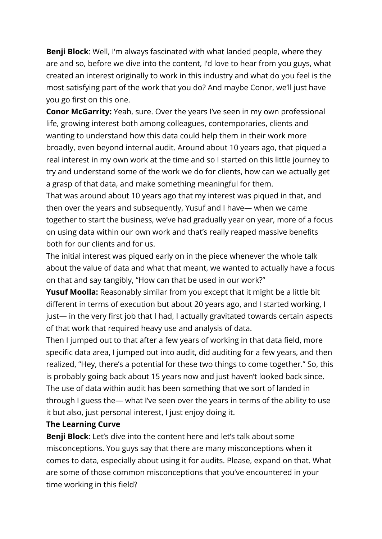**Benji Block**: Well, I'm always fascinated with what landed people, where they are and so, before we dive into the content, I'd love to hear from you guys, what created an interest originally to work in this industry and what do you feel is the most satisfying part of the work that you do? And maybe Conor, we'll just have you go first on this one.

**Conor McGarrity:** Yeah, sure. Over the years I've seen in my own professional life, growing interest both among colleagues, contemporaries, clients and wanting to understand how this data could help them in their work more broadly, even beyond internal audit. Around about 10 years ago, that piqued a real interest in my own work at the time and so I started on this little journey to try and understand some of the work we do for clients, how can we actually get a grasp of that data, and make something meaningful for them.

That was around about 10 years ago that my interest was piqued in that, and then over the years and subsequently, Yusuf and I have— when we came together to start the business, we've had gradually year on year, more of a focus on using data within our own work and that's really reaped massive benefits both for our clients and for us.

The initial interest was piqued early on in the piece whenever the whole talk about the value of data and what that meant, we wanted to actually have a focus on that and say tangibly, "How can that be used in our work?"

**Yusuf Moolla:** Reasonably similar from you except that it might be a little bit different in terms of execution but about 20 years ago, and I started working, I just— in the very first job that I had, I actually gravitated towards certain aspects of that work that required heavy use and analysis of data.

Then I jumped out to that after a few years of working in that data field, more specific data area, I jumped out into audit, did auditing for a few years, and then realized, "Hey, there's a potential for these two things to come together." So, this is probably going back about 15 years now and just haven't looked back since. The use of data within audit has been something that we sort of landed in through I guess the— what I've seen over the years in terms of the ability to use it but also, just personal interest, I just enjoy doing it.

## **The Learning Curve**

**Benji Block**: Let's dive into the content here and let's talk about some misconceptions. You guys say that there are many misconceptions when it comes to data, especially about using it for audits. Please, expand on that. What are some of those common misconceptions that you've encountered in your time working in this field?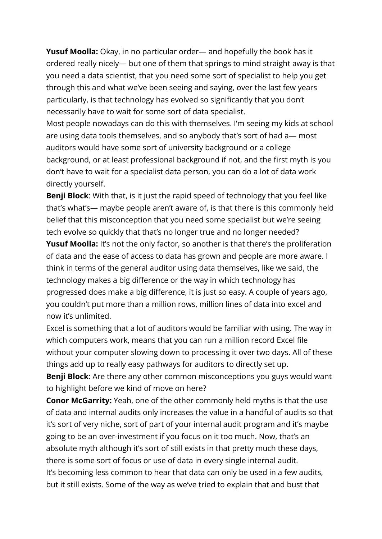**Yusuf Moolla:** Okay, in no particular order— and hopefully the book has it ordered really nicely— but one of them that springs to mind straight away is that you need a data scientist, that you need some sort of specialist to help you get through this and what we've been seeing and saying, over the last few years particularly, is that technology has evolved so significantly that you don't necessarily have to wait for some sort of data specialist.

Most people nowadays can do this with themselves. I'm seeing my kids at school are using data tools themselves, and so anybody that's sort of had a— most auditors would have some sort of university background or a college background, or at least professional background if not, and the first myth is you don't have to wait for a specialist data person, you can do a lot of data work directly yourself.

**Benji Block**: With that, is it just the rapid speed of technology that you feel like that's what's— maybe people aren't aware of, is that there is this commonly held belief that this misconception that you need some specialist but we're seeing tech evolve so quickly that that's no longer true and no longer needed?

**Yusuf Moolla:** It's not the only factor, so another is that there's the proliferation of data and the ease of access to data has grown and people are more aware. I think in terms of the general auditor using data themselves, like we said, the technology makes a big difference or the way in which technology has progressed does make a big difference, it is just so easy. A couple of years ago, you couldn't put more than a million rows, million lines of data into excel and now it's unlimited.

Excel is something that a lot of auditors would be familiar with using. The way in which computers work, means that you can run a million record Excel file without your computer slowing down to processing it over two days. All of these things add up to really easy pathways for auditors to directly set up.

**Benji Block**: Are there any other common misconceptions you guys would want to highlight before we kind of move on here?

**Conor McGarrity:** Yeah, one of the other commonly held myths is that the use of data and internal audits only increases the value in a handful of audits so that it's sort of very niche, sort of part of your internal audit program and it's maybe going to be an over-investment if you focus on it too much. Now, that's an absolute myth although it's sort of still exists in that pretty much these days, there is some sort of focus or use of data in every single internal audit. It's becoming less common to hear that data can only be used in a few audits, but it still exists. Some of the way as we've tried to explain that and bust that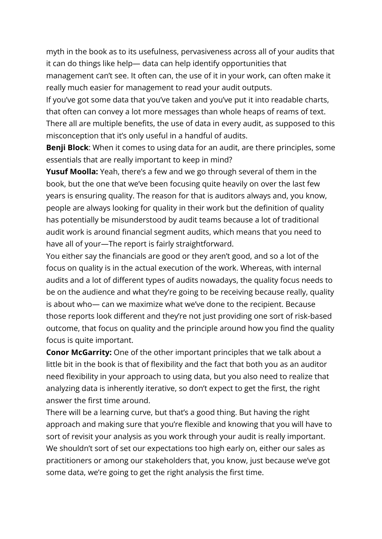myth in the book as to its usefulness, pervasiveness across all of your audits that it can do things like help— data can help identify opportunities that management can't see. It often can, the use of it in your work, can often make it really much easier for management to read your audit outputs.

If you've got some data that you've taken and you've put it into readable charts, that often can convey a lot more messages than whole heaps of reams of text. There all are multiple benefits, the use of data in every audit, as supposed to this misconception that it's only useful in a handful of audits.

**Benji Block**: When it comes to using data for an audit, are there principles, some essentials that are really important to keep in mind?

**Yusuf Moolla:** Yeah, there's a few and we go through several of them in the book, but the one that we've been focusing quite heavily on over the last few years is ensuring quality. The reason for that is auditors always and, you know, people are always looking for quality in their work but the definition of quality has potentially be misunderstood by audit teams because a lot of traditional audit work is around financial segment audits, which means that you need to have all of your—The report is fairly straightforward.

You either say the financials are good or they aren't good, and so a lot of the focus on quality is in the actual execution of the work. Whereas, with internal audits and a lot of different types of audits nowadays, the quality focus needs to be on the audience and what they're going to be receiving because really, quality is about who— can we maximize what we've done to the recipient. Because those reports look different and they're not just providing one sort of risk-based outcome, that focus on quality and the principle around how you find the quality focus is quite important.

**Conor McGarrity:** One of the other important principles that we talk about a little bit in the book is that of flexibility and the fact that both you as an auditor need flexibility in your approach to using data, but you also need to realize that analyzing data is inherently iterative, so don't expect to get the first, the right answer the first time around.

There will be a learning curve, but that's a good thing. But having the right approach and making sure that you're flexible and knowing that you will have to sort of revisit your analysis as you work through your audit is really important. We shouldn't sort of set our expectations too high early on, either our sales as practitioners or among our stakeholders that, you know, just because we've got some data, we're going to get the right analysis the first time.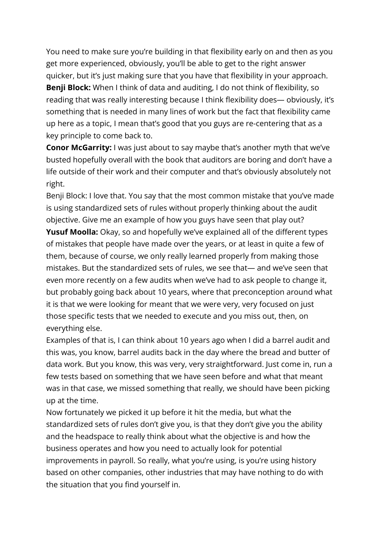You need to make sure you're building in that flexibility early on and then as you get more experienced, obviously, you'll be able to get to the right answer quicker, but it's just making sure that you have that flexibility in your approach. **Benji Block:** When I think of data and auditing, I do not think of flexibility, so reading that was really interesting because I think flexibility does— obviously, it's something that is needed in many lines of work but the fact that flexibility came up here as a topic, I mean that's good that you guys are re-centering that as a key principle to come back to.

**Conor McGarrity:** I was just about to say maybe that's another myth that we've busted hopefully overall with the book that auditors are boring and don't have a life outside of their work and their computer and that's obviously absolutely not right.

Benji Block: I love that. You say that the most common mistake that you've made is using standardized sets of rules without properly thinking about the audit objective. Give me an example of how you guys have seen that play out?

**Yusuf Moolla:** Okay, so and hopefully we've explained all of the different types of mistakes that people have made over the years, or at least in quite a few of them, because of course, we only really learned properly from making those mistakes. But the standardized sets of rules, we see that— and we've seen that even more recently on a few audits when we've had to ask people to change it, but probably going back about 10 years, where that preconception around what it is that we were looking for meant that we were very, very focused on just those specific tests that we needed to execute and you miss out, then, on everything else.

Examples of that is, I can think about 10 years ago when I did a barrel audit and this was, you know, barrel audits back in the day where the bread and butter of data work. But you know, this was very, very straightforward. Just come in, run a few tests based on something that we have seen before and what that meant was in that case, we missed something that really, we should have been picking up at the time.

Now fortunately we picked it up before it hit the media, but what the standardized sets of rules don't give you, is that they don't give you the ability and the headspace to really think about what the objective is and how the business operates and how you need to actually look for potential improvements in payroll. So really, what you're using, is you're using history based on other companies, other industries that may have nothing to do with the situation that you find yourself in.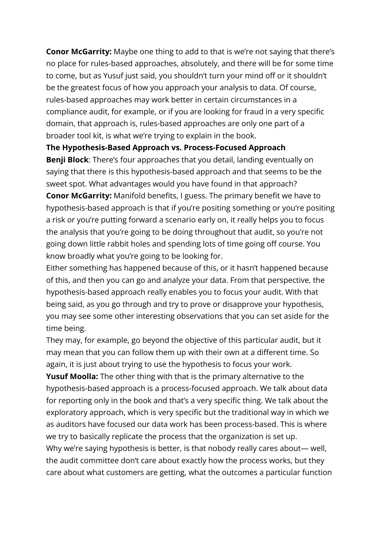**Conor McGarrity:** Maybe one thing to add to that is we're not saying that there's no place for rules-based approaches, absolutely, and there will be for some time to come, but as Yusuf just said, you shouldn't turn your mind off or it shouldn't be the greatest focus of how you approach your analysis to data. Of course, rules-based approaches may work better in certain circumstances in a compliance audit, for example, or if you are looking for fraud in a very specific domain, that approach is, rules-based approaches are only one part of a broader tool kit, is what we're trying to explain in the book.

## **The Hypothesis-Based Approach vs. Process-Focused Approach**

**Benji Block**: There's four approaches that you detail, landing eventually on saying that there is this hypothesis-based approach and that seems to be the sweet spot. What advantages would you have found in that approach?

**Conor McGarrity:** Manifold benefits, I guess. The primary benefit we have to hypothesis-based approach is that if you're positing something or you're positing a risk or you're putting forward a scenario early on, it really helps you to focus the analysis that you're going to be doing throughout that audit, so you're not going down little rabbit holes and spending lots of time going off course. You know broadly what you're going to be looking for.

Either something has happened because of this, or it hasn't happened because of this, and then you can go and analyze your data. From that perspective, the hypothesis-based approach really enables you to focus your audit. With that being said, as you go through and try to prove or disapprove your hypothesis, you may see some other interesting observations that you can set aside for the time being.

They may, for example, go beyond the objective of this particular audit, but it may mean that you can follow them up with their own at a different time. So again, it is just about trying to use the hypothesis to focus your work.

**Yusuf Moolla:** The other thing with that is the primary alternative to the hypothesis-based approach is a process-focused approach. We talk about data for reporting only in the book and that's a very specific thing. We talk about the exploratory approach, which is very specific but the traditional way in which we as auditors have focused our data work has been process-based. This is where we try to basically replicate the process that the organization is set up.

Why we're saying hypothesis is better, is that nobody really cares about— well, the audit committee don't care about exactly how the process works, but they care about what customers are getting, what the outcomes a particular function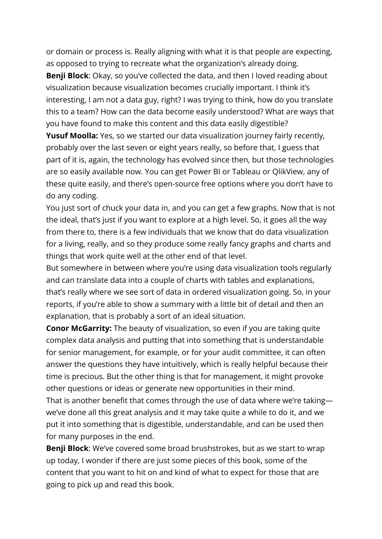or domain or process is. Really aligning with what it is that people are expecting, as opposed to trying to recreate what the organization's already doing.

**Benji Block**: Okay, so you've collected the data, and then I loved reading about visualization because visualization becomes crucially important. I think it's interesting, I am not a data guy, right? I was trying to think, how do you translate this to a team? How can the data become easily understood? What are ways that you have found to make this content and this data easily digestible?

**Yusuf Moolla:** Yes, so we started our data visualization journey fairly recently, probably over the last seven or eight years really, so before that, I guess that part of it is, again, the technology has evolved since then, but those technologies are so easily available now. You can get Power BI or Tableau or QlikView, any of these quite easily, and there's open-source free options where you don't have to do any coding.

You just sort of chuck your data in, and you can get a few graphs. Now that is not the ideal, that's just if you want to explore at a high level. So, it goes all the way from there to, there is a few individuals that we know that do data visualization for a living, really, and so they produce some really fancy graphs and charts and things that work quite well at the other end of that level.

But somewhere in between where you're using data visualization tools regularly and can translate data into a couple of charts with tables and explanations, that's really where we see sort of data in ordered visualization going. So, in your reports, if you're able to show a summary with a little bit of detail and then an explanation, that is probably a sort of an ideal situation.

**Conor McGarrity:** The beauty of visualization, so even if you are taking quite complex data analysis and putting that into something that is understandable for senior management, for example, or for your audit committee, it can often answer the questions they have intuitively, which is really helpful because their time is precious. But the other thing is that for management, it might provoke other questions or ideas or generate new opportunities in their mind.

That is another benefit that comes through the use of data where we're taking we've done all this great analysis and it may take quite a while to do it, and we put it into something that is digestible, understandable, and can be used then for many purposes in the end.

**Benji Block**: We've covered some broad brushstrokes, but as we start to wrap up today, I wonder if there are just some pieces of this book, some of the content that you want to hit on and kind of what to expect for those that are going to pick up and read this book.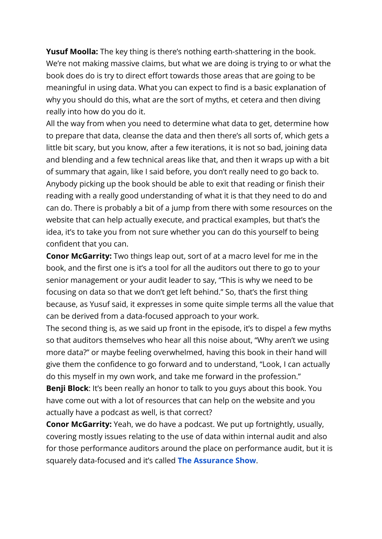**Yusuf Moolla:** The key thing is there's nothing earth-shattering in the book. We're not making massive claims, but what we are doing is trying to or what the book does do is try to direct effort towards those areas that are going to be meaningful in using data. What you can expect to find is a basic explanation of why you should do this, what are the sort of myths, et cetera and then diving really into how do you do it.

All the way from when you need to determine what data to get, determine how to prepare that data, cleanse the data and then there's all sorts of, which gets a little bit scary, but you know, after a few iterations, it is not so bad, joining data and blending and a few technical areas like that, and then it wraps up with a bit of summary that again, like I said before, you don't really need to go back to. Anybody picking up the book should be able to exit that reading or finish their reading with a really good understanding of what it is that they need to do and can do. There is probably a bit of a jump from there with some resources on the website that can help actually execute, and practical examples, but that's the idea, it's to take you from not sure whether you can do this yourself to being confident that you can.

**Conor McGarrity:** Two things leap out, sort of at a macro level for me in the book, and the first one is it's a tool for all the auditors out there to go to your senior management or your audit leader to say, "This is why we need to be focusing on data so that we don't get left behind." So, that's the first thing because, as Yusuf said, it expresses in some quite simple terms all the value that can be derived from a data-focused approach to your work.

The second thing is, as we said up front in the episode, it's to dispel a few myths so that auditors themselves who hear all this noise about, "Why aren't we using more data?" or maybe feeling overwhelmed, having this book in their hand will give them the confidence to go forward and to understand, "Look, I can actually do this myself in my own work, and take me forward in the profession."

**Benji Block**: It's been really an honor to talk to you guys about this book. You have come out with a lot of resources that can help on the website and you actually have a podcast as well, is that correct?

**Conor McGarrity:** Yeah, we do have a podcast. We put up fortnightly, usually, covering mostly issues relating to the use of data within internal audit and also for those performance auditors around the place on performance audit, but it is squarely data-focused and it's called **[The Assurance Show](https://podcasts.apple.com/us/podcast/the-assurance-show/id1501303848)**.